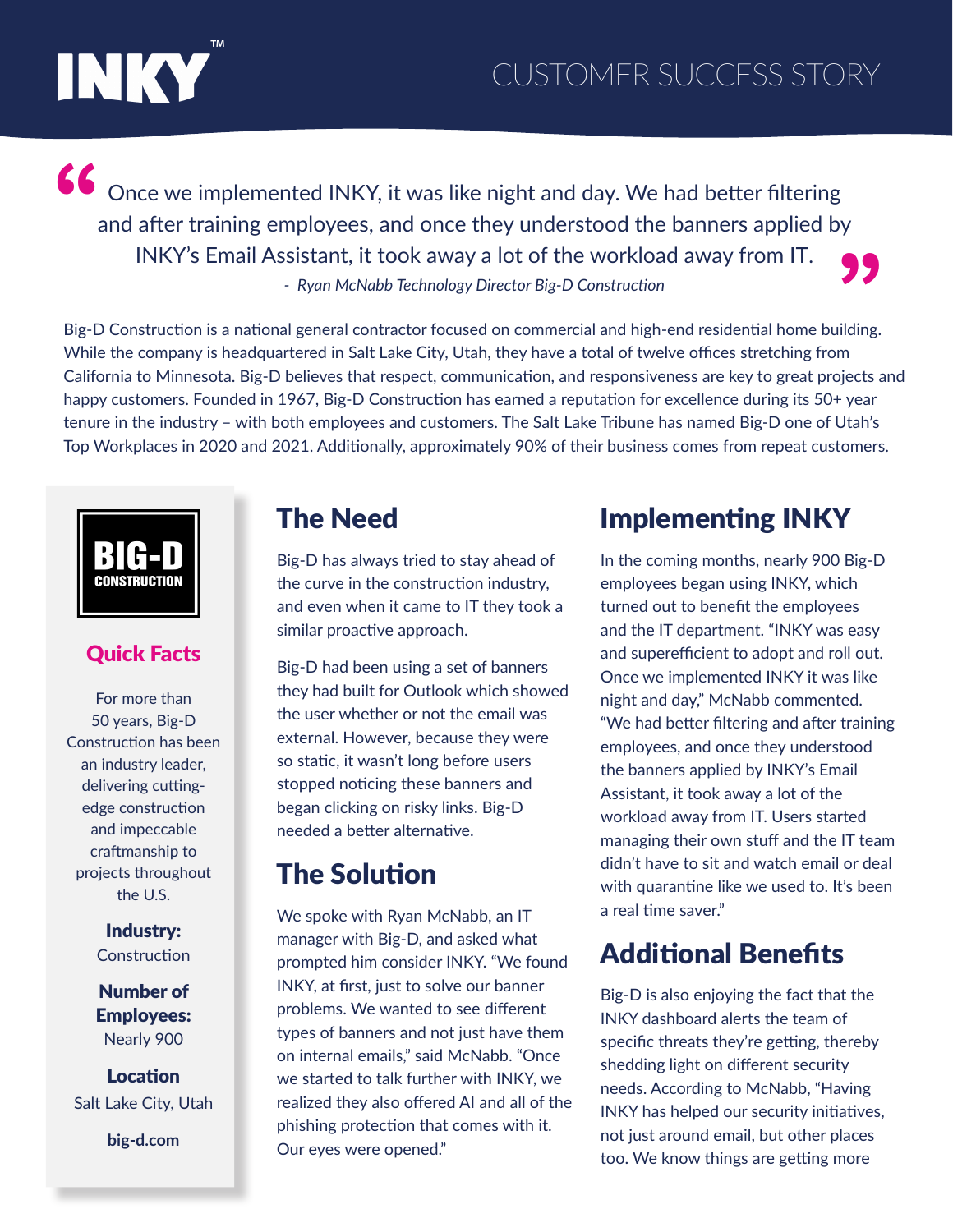

Once we implemented INKY, it was like night and day. We had better filtering and after training employees, and once they understood the banners applied by INKY's Email Assistant, it took away a lot of the workload away from IT. *- Ryan McNabb Technology Director Big-D Construction* **"** INKY's Email Assistant, it took away a lot of the workload away from IT.<br>Fig-D Construction - Ryan McNabb Technology Director Big-D Construction<br>Big-D Construction is a national general contractor focused on commercial and

While the company is headquartered in Salt Lake City, Utah, they have a total of twelve offices stretching from California to Minnesota. Big-D believes that respect, communication, and responsiveness are key to great projects and happy customers. Founded in 1967, Big-D Construction has earned a reputation for excellence during its 50+ year tenure in the industry – with both employees and customers. The Salt Lake Tribune has named Big-D one of Utah's Top Workplaces in 2020 and 2021. Additionally, approximately 90% of their business comes from repeat customers.



#### Quick Facts

For more than 50 years, Big-D Construction has been an industry leader, delivering cuttingedge construction and impeccable craftmanship to projects throughout the U.S.

> Industry: **Construction**

Number of Employees: Nearly 900

Location Salt Lake City, Utah

**big-d.com**

#### The Need

Big-D has always tried to stay ahead of the curve in the construction industry, and even when it came to IT they took a similar proactive approach.

Big-D had been using a set of banners they had built for Outlook which showed the user whether or not the email was external. However, because they were so static, it wasn't long before users stopped noticing these banners and began clicking on risky links. Big-D needed a better alternative.

#### The Solution

We spoke with Ryan McNabb, an IT manager with Big-D, and asked what prompted him consider INKY. "We found INKY, at first, just to solve our banner problems. We wanted to see different types of banners and not just have them on internal emails," said McNabb. "Once we started to talk further with INKY, we realized they also offered AI and all of the phishing protection that comes with it. Our eyes were opened."

# Implementing INKY

In the coming months, nearly 900 Big-D employees began using INKY, which turned out to benefit the employees and the IT department. "INKY was easy and superefficient to adopt and roll out. Once we implemented INKY it was like night and day," McNabb commented. "We had better filtering and after training employees, and once they understood the banners applied by INKY's Email Assistant, it took away a lot of the workload away from IT. Users started managing their own stuff and the IT team didn't have to sit and watch email or deal with quarantine like we used to. It's been a real time saver."

# Additional Benefits

Big-D is also enjoying the fact that the INKY dashboard alerts the team of specific threats they're getting, thereby shedding light on different security needs. According to McNabb, "Having INKY has helped our security initiatives, not just around email, but other places too. We know things are getting more